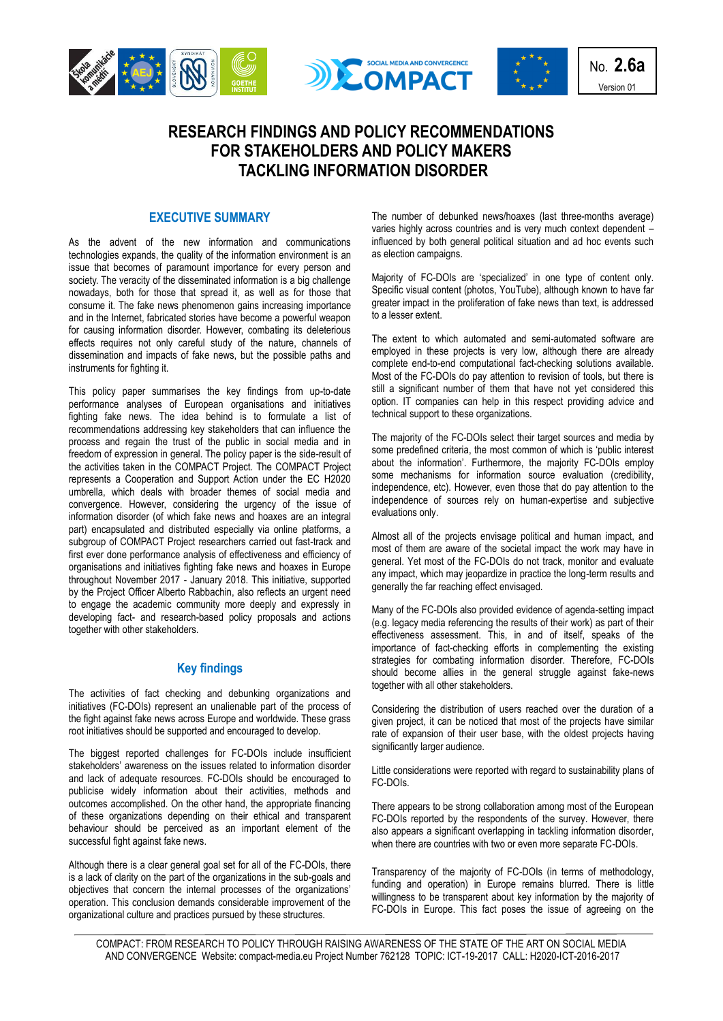





No. **2.6a** Version 01

# **RESEARCH FINDINGS AND POLICY RECOMMENDATIONS FOR STAKEHOLDERS AND POLICY MAKERS TACKLING INFORMATION DISORDER**

### **EXECUTIVE SUMMARY**

As the advent of the new information and communications technologies expands, the quality of the information environment is an issue that becomes of paramount importance for every person and society. The veracity of the disseminated information is a big challenge nowadays, both for those that spread it, as well as for those that consume it. The fake news phenomenon gains increasing importance and in the Internet, fabricated stories have become a powerful weapon for causing information disorder. However, combating its deleterious effects requires not only careful study of the nature, channels of dissemination and impacts of fake news, but the possible paths and instruments for fighting it.

This policy paper summarises the key findings from up-to-date performance analyses of European organisations and initiatives fighting fake news. The idea behind is to formulate a list of recommendations addressing key stakeholders that can influence the process and regain the trust of the public in social media and in freedom of expression in general. The policy paper is the side-result of the activities taken in the COMPACT Project. The COMPACT Project represents a Cooperation and Support Action under the EC H2020 umbrella, which deals with broader themes of social media and convergence. However, considering the urgency of the issue of information disorder (of which fake news and hoaxes are an integral part) encapsulated and distributed especially via online platforms, a subgroup of COMPACT Project researchers carried out fast-track and first ever done performance analysis of effectiveness and efficiency of organisations and initiatives fighting fake news and hoaxes in Europe throughout November 2017 - January 2018. This initiative, supported by the Project Officer Alberto Rabbachin, also reflects an urgent need to engage the academic community more deeply and expressly in developing fact- and research-based policy proposals and actions together with other stakeholders.

# **Key findings**

The activities of fact checking and debunking organizations and initiatives (FC-DOIs) represent an unalienable part of the process of the fight against fake news across Europe and worldwide. These grass root initiatives should be supported and encouraged to develop.

The biggest reported challenges for FC-DOIs include insufficient stakeholders' awareness on the issues related to information disorder and lack of adequate resources. FC-DOIs should be encouraged to publicise widely information about their activities, methods and outcomes accomplished. On the other hand, the appropriate financing of these organizations depending on their ethical and transparent behaviour should be perceived as an important element of the successful fight against fake news.

Although there is a clear general goal set for all of the FC-DOIs, there is a lack of clarity on the part of the organizations in the sub-goals and objectives that concern the internal processes of the organizations' operation. This conclusion demands considerable improvement of the organizational culture and practices pursued by these structures.

The number of debunked news/hoaxes (last three-months average) varies highly across countries and is very much context dependent – influenced by both general political situation and ad hoc events such as election campaigns.

Majority of FC-DOIs are 'specialized' in one type of content only. Specific visual content (photos, YouTube), although known to have far greater impact in the proliferation of fake news than text, is addressed to a lesser extent.

The extent to which automated and semi-automated software are employed in these projects is very low, although there are already complete end-to-end computational fact-checking solutions available. Most of the FC-DOIs do pay attention to revision of tools, but there is still a significant number of them that have not yet considered this option. IT companies can help in this respect providing advice and technical support to these organizations.

The majority of the FC-DOIs select their target sources and media by some predefined criteria, the most common of which is 'public interest about the information'. Furthermore, the majority FC-DOIs employ some mechanisms for information source evaluation (credibility, independence, etc). However, even those that do pay attention to the independence of sources rely on human-expertise and subjective evaluations only.

Almost all of the projects envisage political and human impact, and most of them are aware of the societal impact the work may have in general. Yet most of the FC-DOIs do not track, monitor and evaluate any impact, which may jeopardize in practice the long-term results and generally the far reaching effect envisaged.

Many of the FC-DOIs also provided evidence of agenda-setting impact (e.g. legacy media referencing the results of their work) as part of their effectiveness assessment. This, in and of itself, speaks of the importance of fact-checking efforts in complementing the existing strategies for combating information disorder. Therefore, FC-DOIs should become allies in the general struggle against fake-news together with all other stakeholders.

Considering the distribution of users reached over the duration of a given project, it can be noticed that most of the projects have similar rate of expansion of their user base, with the oldest projects having significantly larger audience.

Little considerations were reported with regard to sustainability plans of FC-DOIs.

There appears to be strong collaboration among most of the European FC-DOIs reported by the respondents of the survey. However, there also appears a significant overlapping in tackling information disorder, when there are countries with two or even more separate FC-DOIs.

Transparency of the majority of FC-DOIs (in terms of methodology, funding and operation) in Europe remains blurred. There is little willingness to be transparent about key information by the majority of FC-DOIs in Europe. This fact poses the issue of agreeing on the